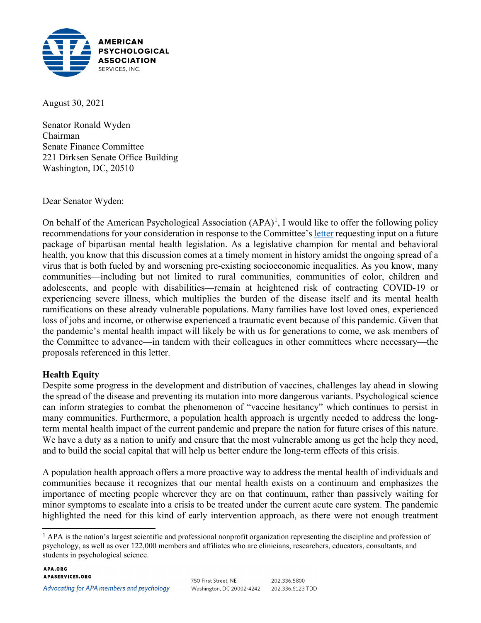

August 30, 2021

Senator Ronald Wyden Chairman Senate Finance Committee 221 Dirksen Senate Office Building Washington, DC, 20510

Dear Senator Wyden:

On behalf of the American Psychological Association  $(APA)^1$  $(APA)^1$ , I would like to offer the following policy recommendations for your consideration in response to the Committee's [letter](https://www.finance.senate.gov/imo/media/doc/080521%20SFC%20Bipart%20mental%20health%20kickoff%20letter.pdf) requesting input on a future package of bipartisan mental health legislation. As a legislative champion for mental and behavioral health, you know that this discussion comes at a timely moment in history amidst the ongoing spread of a virus that is both fueled by and worsening pre-existing socioeconomic inequalities. As you know, many communities—including but not limited to rural communities, communities of color, children and adolescents, and people with disabilities—remain at heightened risk of contracting COVID-19 or experiencing severe illness, which multiplies the burden of the disease itself and its mental health ramifications on these already vulnerable populations. Many families have lost loved ones, experienced loss of jobs and income, or otherwise experienced a traumatic event because of this pandemic. Given that the pandemic's mental health impact will likely be with us for generations to come, we ask members of the Committee to advance—in tandem with their colleagues in other committees where necessary—the proposals referenced in this letter.

### **Health Equity**

Despite some progress in the development and distribution of vaccines, challenges lay ahead in slowing the spread of the disease and preventing its mutation into more dangerous variants. Psychological science can inform strategies to combat the phenomenon of "vaccine hesitancy" which continues to persist in many communities. Furthermore, a population health approach is urgently needed to address the longterm mental health impact of the current pandemic and prepare the nation for future crises of this nature. We have a duty as a nation to unify and ensure that the most vulnerable among us get the help they need, and to build the social capital that will help us better endure the long-term effects of this crisis.

A population health approach offers a more proactive way to address the mental health of individuals and communities because it recognizes that our mental health exists on a continuum and emphasizes the importance of meeting people wherever they are on that continuum, rather than passively waiting for minor symptoms to escalate into a crisis to be treated under the current acute care system. The pandemic highlighted the need for this kind of early intervention approach, as there were not enough treatment

<span id="page-0-0"></span><sup>1</sup> APA is the nation's largest scientific and professional nonprofit organization representing the discipline and profession of psychology, as well as over 122,000 members and affiliates who are clinicians, researchers, educators, consultants, and students in psychological science.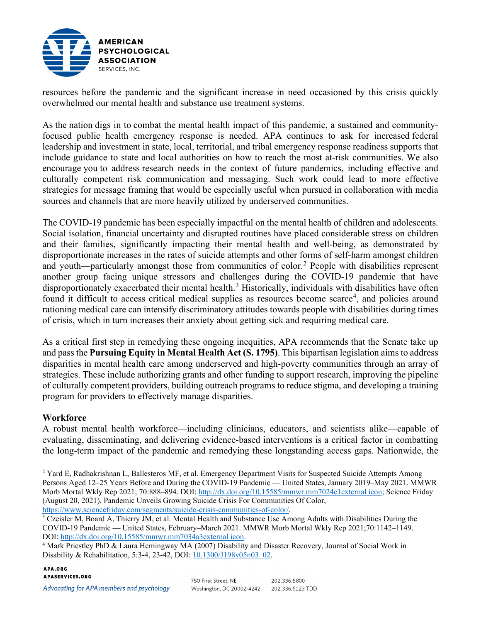

resources before the pandemic and the significant increase in need occasioned by this crisis quickly overwhelmed our mental health and substance use treatment systems.

As the nation digs in to combat the mental health impact of this pandemic, a sustained and communityfocused public health emergency response is needed. APA continues to ask for increased federal leadership and investment in state, local, territorial, and tribal emergency response readiness supports that include guidance to state and local authorities on how to reach the most at-risk communities. We also encourage you to address research needs in the context of future pandemics, including effective and culturally competent risk communication and messaging. Such work could lead to more effective strategies for message framing that would be especially useful when pursued in collaboration with media sources and channels that are more heavily utilized by underserved communities.

The COVID-19 pandemic has been especially impactful on the mental health of children and adolescents. Social isolation, financial uncertainty and disrupted routines have placed considerable stress on children and their families, significantly impacting their mental health and well-being, as demonstrated by disproportionate increases in the rates of suicide attempts and other forms of self-harm amongst children and youth—particularly amongst those from communities of color.<sup>[2](#page-1-0)</sup> People with disabilities represent another group facing unique stressors and challenges during the COVID-19 pandemic that have disproportionately exacerbated their mental health.<sup>[3](#page-1-1)</sup> Historically, individuals with disabilities have often found it difficult to access critical medical supplies as resources become scarce<sup>[4](#page-1-2)</sup>, and policies around rationing medical care can intensify discriminatory attitudes towards people with disabilities during times of crisis, which in turn increases their anxiety about getting sick and requiring medical care.

As a critical first step in remedying these ongoing inequities, APA recommends that the Senate take up and pass the **Pursuing Equity in Mental Health Act (S. 1795)**. This bipartisan legislation aims to address disparities in mental health care among underserved and high-poverty communities through an array of strategies. These include authorizing grants and other funding to support research, improving the pipeline of culturally competent providers, building outreach programs to reduce stigma, and developing a training program for providers to effectively manage disparities.

# **Workforce**

A robust mental health workforce—including clinicians, educators, and scientists alike—capable of evaluating, disseminating, and delivering evidence-based interventions is a critical factor in combatting the long-term impact of the pandemic and remedying these longstanding access gaps. Nationwide, the

Advocating for APA members and psychology

<span id="page-1-0"></span><sup>2</sup> Yard E, Radhakrishnan L, Ballesteros MF, et al. Emergency Department Visits for Suspected Suicide Attempts Among Persons Aged 12–25 Years Before and During the COVID-19 Pandemic — United States, January 2019–May 2021. MMWR Morb Mortal Wkly Rep 2021; 70:888–894. DOI: [http://dx.doi.org/10.15585/mmwr.mm7024e1external icon;](http://dx.doi.org/10.15585/mmwr.mm7024e1) Science Friday (August 20, 2021), Pandemic Unveils Growing Suicide Crisis For Communities Of Color,

<span id="page-1-1"></span>[https://www.sciencefriday.com/segments/suicide-crisis-communities-of-color/.](https://www.sciencefriday.com/segments/suicide-crisis-communities-of-color/)<br><sup>3</sup> Czeisler M, Board A, Thierry JM, et al. Mental Health and Substance Use Among Adults with Disabilities During the COVID-19 Pandemic — United States, February–March 2021. MMWR Morb Mortal Wkly Rep 2021;70:1142–1149. DOI: [http://dx.doi.org/10.15585/mmwr.mm7034a3external icon.](http://dx.doi.org/10.15585/mmwr.mm7034a3)

<span id="page-1-2"></span><sup>&</sup>lt;sup>4</sup> Mark Priestley PhD & Laura Hemingway MA (2007) Disability and Disaster Recovery, Journal of Social Work in Disability & Rehabilitation, 5:3-4, 23-42, DOI: [10.1300/J198v05n03\\_02.](https://doi.org/10.1300/J198v05n03_02)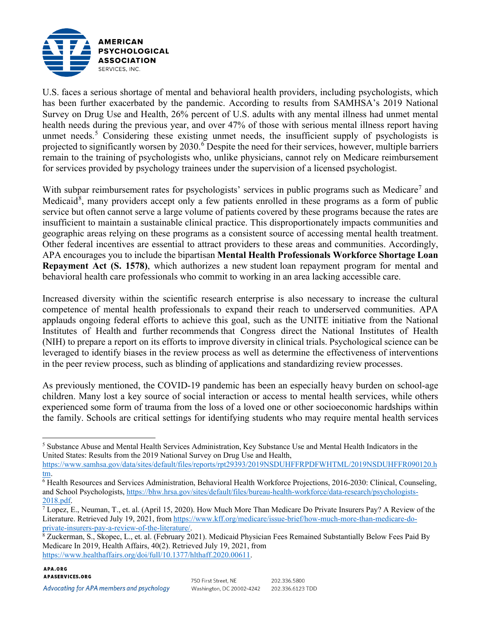

U.S. faces a serious shortage of mental and behavioral health providers, including psychologists, which has been further exacerbated by the pandemic. According to results from SAMHSA's 2019 National Survey on Drug Use and Health, 26% percent of U.S. adults with any mental illness had unmet mental health needs during the previous year, and over 47% of those with serious mental illness report having unmet needs.<sup>[5](#page-2-0)</sup> Considering these existing unmet needs, the insufficient supply of psychologists is projected to significantly worsen by 2030.<sup>[6](#page-2-1)</sup> Despite the need for their services, however, multiple barriers remain to the training of psychologists who, unlike physicians, cannot rely on Medicare reimbursement for services provided by psychology trainees under the supervision of a licensed psychologist.

With subpar reimbursement rates for psychologists' services in public programs such as Medicare<sup>[7](#page-2-2)</sup> and Medicaid<sup>[8](#page-2-3)</sup>, many providers accept only a few patients enrolled in these programs as a form of public service but often cannot serve a large volume of patients covered by these programs because the rates are insufficient to maintain a sustainable clinical practice. This disproportionately impacts communities and geographic areas relying on these programs as a consistent source of accessing mental health treatment. Other federal incentives are essential to attract providers to these areas and communities. Accordingly, APA encourages you to include the bipartisan **Mental Health Professionals Workforce Shortage Loan Repayment Act (S. 1578)**, which authorizes a new student loan repayment program for mental and behavioral health care professionals who commit to working in an area lacking accessible care.

Increased diversity within the scientific research enterprise is also necessary to increase the cultural competence of mental health professionals to expand their reach to underserved communities. APA applauds ongoing federal efforts to achieve this goal, such as the UNITE initiative from the National Institutes of Health and further recommends that Congress direct the National Institutes of Health (NIH) to prepare a report on its efforts to improve diversity in clinical trials. Psychological science can be leveraged to identify biases in the review process as well as determine the effectiveness of interventions in the peer review process, such as blinding of applications and standardizing review processes.

As previously mentioned, the COVID-19 pandemic has been an especially heavy burden on school-age children. Many lost a key source of social interaction or access to mental health services, while others experienced some form of trauma from the loss of a loved one or other socioeconomic hardships within the family. Schools are critical settings for identifying students who may require mental health services

202.336.5800

202.336.6123 TDD

<span id="page-2-0"></span><sup>5</sup> Substance Abuse and Mental Health Services Administration, Key Substance Use and Mental Health Indicators in the United States: Results from the 2019 National Survey on Drug Use and Health,

[https://www.samhsa.gov/data/sites/default/files/reports/rpt29393/2019NSDUHFFRPDFWHTML/2019NSDUHFFR090120.h](https://www.samhsa.gov/data/sites/default/files/reports/rpt29393/2019NSDUHFFRPDFWHTML/2019NSDUHFFR090120.htm) [tm.](https://www.samhsa.gov/data/sites/default/files/reports/rpt29393/2019NSDUHFFRPDFWHTML/2019NSDUHFFR090120.htm)<br><sup>6</sup> Health Resources and Services Administration, Behavioral Health Workforce Projections, 2016-2030: Clinical, Counseling,

<span id="page-2-1"></span>and School Psychologists, [https://bhw.hrsa.gov/sites/default/files/bureau-health-workforce/data-research/psychologists-](https://bhw.hrsa.gov/sites/default/files/bureau-health-workforce/data-research/psychologists-2018.pdf) $\frac{2018 \text{.pdf}}{7}$  Lopez, E., Neuman, T., et. al. (April 15, 2020). How Much More Than Medicare Do Private Insurers Pay? A Review of the

<span id="page-2-2"></span>Literature. Retrieved July 19, 2021, from https://www.kff.org/medicare/issue-brief/how-much-more-than-medicare-do-<br>private-insurers-pay-a-review-of-the-literature/.

<span id="page-2-3"></span><sup>&</sup>lt;sup>8</sup> Zuckerman, S., Skopec, L., et. al. (February 2021). Medicaid Physician Fees Remained Substantially Below Fees Paid By Medicare In 2019, Health Affairs, 40(2). Retrieved July 19, 2021, from [https://www.healthaffairs.org/doi/full/10.1377/hlthaff.2020.00611.](https://www.healthaffairs.org/doi/full/10.1377/hlthaff.2020.00611)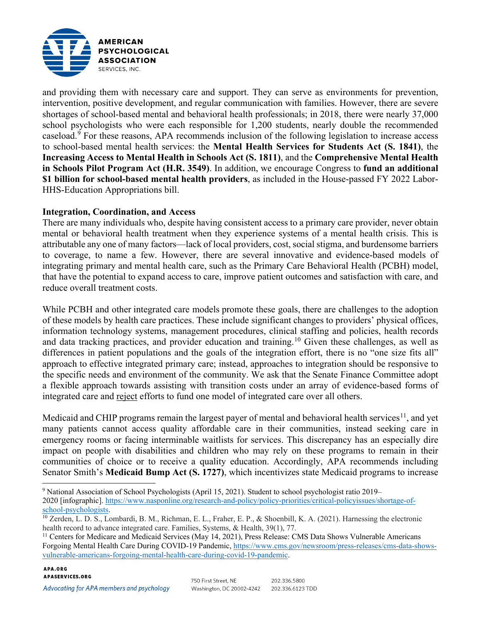

and providing them with necessary care and support. They can serve as environments for prevention, intervention, positive development, and regular communication with families. However, there are severe shortages of school-based mental and behavioral health professionals; in 2018, there were nearly 37,000 school psychologists who were each responsible for 1,200 students, nearly double the recommended caseload.[9](#page-3-0) For these reasons, APA recommends inclusion of the following legislation to increase access to school-based mental health services: the **Mental Health Services for Students Act (S. 1841)**, the **Increasing Access to Mental Health in Schools Act (S. 1811)**, and the **Comprehensive Mental Health in Schools Pilot Program Act (H.R. 3549)**. In addition, we encourage Congress to **fund an additional \$1 billion for school-based mental health providers**, as included in the House-passed FY 2022 Labor-HHS-Education Appropriations bill.

### **Integration, Coordination, and Access**

There are many individuals who, despite having consistent access to a primary care provider, never obtain mental or behavioral health treatment when they experience systems of a mental health crisis. This is attributable any one of many factors—lack of local providers, cost, social stigma, and burdensome barriers to coverage, to name a few. However, there are several innovative and evidence-based models of integrating primary and mental health care, such as the Primary Care Behavioral Health (PCBH) model, that have the potential to expand access to care, improve patient outcomes and satisfaction with care, and reduce overall treatment costs.

While PCBH and other integrated care models promote these goals, there are challenges to the adoption of these models by health care practices. These include significant changes to providers' physical offices, information technology systems, management procedures, clinical staffing and policies, health records and data tracking practices, and provider education and training.<sup>[10](#page-3-1)</sup> Given these challenges, as well as differences in patient populations and the goals of the integration effort, there is no "one size fits all" approach to effective integrated primary care; instead, approaches to integration should be responsive to the specific needs and environment of the community. We ask that the Senate Finance Committee adopt a flexible approach towards assisting with transition costs under an array of evidence-based forms of integrated care and reject efforts to fund one model of integrated care over all others.

Medicaid and CHIP programs remain the largest payer of mental and behavioral health services<sup>11</sup>, and yet many patients cannot access quality affordable care in their communities, instead seeking care in emergency rooms or facing interminable waitlists for services. This discrepancy has an especially dire impact on people with disabilities and children who may rely on these programs to remain in their communities of choice or to receive a quality education. Accordingly, APA recommends including Senator Smith's **Medicaid Bump Act (S. 1727)**, which incentivizes state Medicaid programs to increase

#### APA.ORG **APASERVICES.ORG**

<span id="page-3-0"></span><sup>9</sup> National Association of School Psychologists (April 15, 2021). Student to school psychologist ratio 2019– 2020 [infographic]. [https://www.nasponline.org/research-and-policy/policy-priorities/critical-policyissues/shortage-of](https://www.nasponline.org/research-and-policy/policy-priorities/critical-policyissues/shortage-of-school-psychologists)[school-psychologists.](https://www.nasponline.org/research-and-policy/policy-priorities/critical-policyissues/shortage-of-school-psychologists)<br><sup>10</sup> Zerden, L. D. S., Lombardi, B. M., Richman, E. L., Fraher, E. P., & Shoenbill, K. A. (2021). Harnessing the electronic

<span id="page-3-1"></span>health record to advance integrated care. Families, Systems, & Health, 39(1), 77.

<span id="page-3-2"></span><sup>&</sup>lt;sup>11</sup> Centers for Medicare and Medicaid Services (May 14, 2021), Press Release: CMS Data Shows Vulnerable Americans Forgoing Mental Health Care During COVID-19 Pandemic, [https://www.cms.gov/newsroom/press-releases/cms-data-shows](https://www.cms.gov/newsroom/press-releases/cms-data-shows-vulnerable-americans-forgoing-mental-health-care-during-covid-19-pandemic)[vulnerable-americans-forgoing-mental-health-care-during-covid-19-pandemic.](https://www.cms.gov/newsroom/press-releases/cms-data-shows-vulnerable-americans-forgoing-mental-health-care-during-covid-19-pandemic)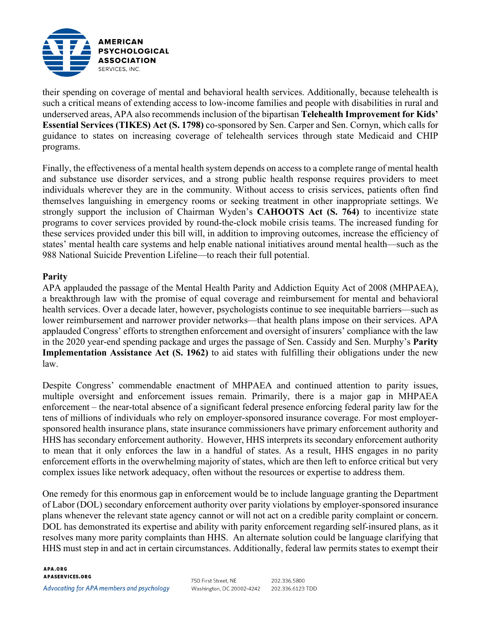

their spending on coverage of mental and behavioral health services. Additionally, because telehealth is such a critical means of extending access to low-income families and people with disabilities in rural and underserved areas, APA also recommends inclusion of the bipartisan **Telehealth Improvement for Kids' Essential Services (TIKES) Act (S. 1798)** co-sponsored by Sen. Carper and Sen. Cornyn, which calls for guidance to states on increasing coverage of telehealth services through state Medicaid and CHIP programs.

Finally, the effectiveness of a mental health system depends on access to a complete range of mental health and substance use disorder services, and a strong public health response requires providers to meet individuals wherever they are in the community. Without access to crisis services, patients often find themselves languishing in emergency rooms or seeking treatment in other inappropriate settings. We strongly support the inclusion of Chairman Wyden's **CAHOOTS Act (S. 764)** to incentivize state programs to cover services provided by round-the-clock mobile crisis teams. The increased funding for these services provided under this bill will, in addition to improving outcomes, increase the efficiency of states' mental health care systems and help enable national initiatives around mental health—such as the 988 National Suicide Prevention Lifeline—to reach their full potential.

### **Parity**

APA applauded the passage of the Mental Health Parity and Addiction Equity Act of 2008 (MHPAEA), a breakthrough law with the promise of equal coverage and reimbursement for mental and behavioral health services. Over a decade later, however, psychologists continue to see inequitable barriers—such as lower reimbursement and narrower provider networks—that health plans impose on their services. APA applauded Congress' efforts to strengthen enforcement and oversight of insurers' compliance with the law in the 2020 year-end spending package and urges the passage of Sen. Cassidy and Sen. Murphy's **Parity Implementation Assistance Act (S. 1962)** to aid states with fulfilling their obligations under the new law.

Despite Congress' commendable enactment of MHPAEA and continued attention to parity issues, multiple oversight and enforcement issues remain. Primarily, there is a major gap in MHPAEA enforcement – the near-total absence of a significant federal presence enforcing federal parity law for the tens of millions of individuals who rely on employer-sponsored insurance coverage. For most employersponsored health insurance plans, state insurance commissioners have primary enforcement authority and HHS has secondary enforcement authority. However, HHS interprets its secondary enforcement authority to mean that it only enforces the law in a handful of states. As a result, HHS engages in no parity enforcement efforts in the overwhelming majority of states, which are then left to enforce critical but very complex issues like network adequacy, often without the resources or expertise to address them.

One remedy for this enormous gap in enforcement would be to include language granting the Department of Labor (DOL) secondary enforcement authority over parity violations by employer-sponsored insurance plans whenever the relevant state agency cannot or will not act on a credible parity complaint or concern. DOL has demonstrated its expertise and ability with parity enforcement regarding self-insured plans, as it resolves many more parity complaints than HHS. An alternate solution could be language clarifying that HHS must step in and act in certain circumstances. Additionally, federal law permits states to exempt their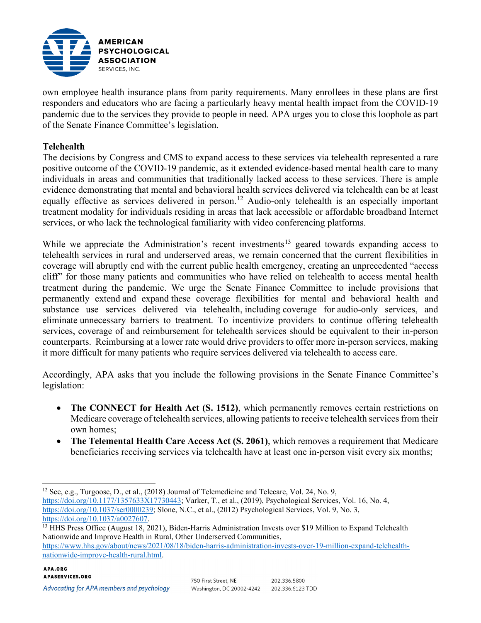

own employee health insurance plans from parity requirements. Many enrollees in these plans are first responders and educators who are facing a particularly heavy mental health impact from the COVID-19 pandemic due to the services they provide to people in need. APA urges you to close this loophole as part of the Senate Finance Committee's legislation.

## **Telehealth**

The decisions by Congress and CMS to expand access to these services via telehealth represented a rare positive outcome of the COVID-19 pandemic, as it extended evidence-based mental health care to many individuals in areas and communities that traditionally lacked access to these services. There is ample evidence demonstrating that mental and behavioral health services delivered via telehealth can be at least equally effective as services delivered in person.<sup>[12](#page-5-0)</sup> Audio-only telehealth is an especially important treatment modality for individuals residing in areas that lack accessible or affordable broadband Internet services, or who lack the technological familiarity with video conferencing platforms.

While we appreciate the Administration's recent investments<sup>[13](#page-5-1)</sup> geared towards expanding access to telehealth services in rural and underserved areas, we remain concerned that the current flexibilities in coverage will abruptly end with the current public health emergency, creating an unprecedented "access cliff" for those many patients and communities who have relied on telehealth to access mental health treatment during the pandemic. We urge the Senate Finance Committee to include provisions that permanently extend and expand these coverage flexibilities for mental and behavioral health and substance use services delivered via telehealth, including coverage for audio-only services, and eliminate unnecessary barriers to treatment. To incentivize providers to continue offering telehealth services, coverage of and reimbursement for telehealth services should be equivalent to their in-person counterparts. Reimbursing at a lower rate would drive providers to offer more in-person services, making it more difficult for many patients who require services delivered via telehealth to access care.

Accordingly, APA asks that you include the following provisions in the Senate Finance Committee's legislation:

- **The CONNECT for Health Act (S. 1512)**, which permanently removes certain restrictions on Medicare coverage of telehealth services, allowing patients to receive telehealth services from their own homes;
- **The Telemental Health Care Access Act (S. 2061)**, which removes a requirement that Medicare beneficiaries receiving services via telehealth have at least one in-person visit every six months;

<span id="page-5-0"></span><sup>12</sup> See, e.g., Turgoose, D., et al., (2018) Journal of Telemedicine and Telecare, Vol. 24, No. 9, [https://doi.org/10.1177/1357633X17730443;](https://doi.org/10.1177/1357633X17730443) Varker, T., et al., (2019), Psychological Services, Vol. 16, No. 4, [https://doi.org/10.1037/ser0000239;](https://doi.org/10.1037/ser0000239) Slone, N.C., et al., (2012) Psychological Services, Vol. 9, No. 3, https://doi.org/10.1037/a0027607.

[https://www.hhs.gov/about/news/2021/08/18/biden-harris-administration-invests-over-19-million-expand-telehealth](https://www.hhs.gov/about/news/2021/08/18/biden-harris-administration-invests-over-19-million-expand-telehealth-nationwide-improve-health-rural.html)[nationwide-improve-health-rural.html.](https://www.hhs.gov/about/news/2021/08/18/biden-harris-administration-invests-over-19-million-expand-telehealth-nationwide-improve-health-rural.html)

Advocating for APA members and psychology

<span id="page-5-1"></span><sup>&</sup>lt;sup>13</sup> HHS Press Office (August 18, 2021), Biden-Harris Administration Invests over \$19 Million to Expand Telehealth Nationwide and Improve Health in Rural, Other Underserved Communities,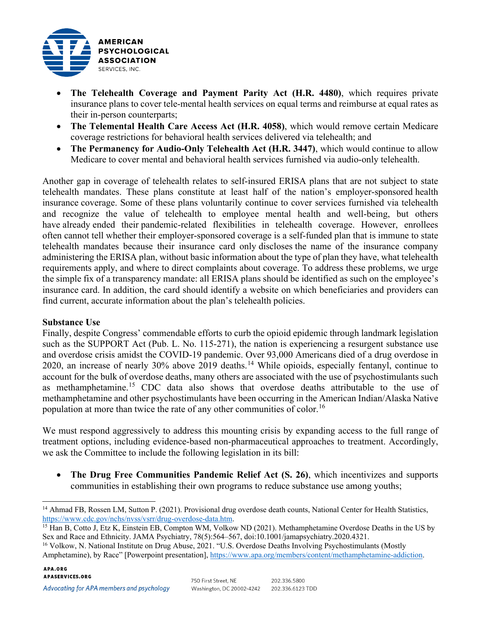

- **The Telehealth Coverage and Payment Parity Act (H.R. 4480)**, which requires private insurance plans to cover tele-mental health services on equal terms and reimburse at equal rates as their in-person counterparts;
- **The Telemental Health Care Access Act (H.R. 4058)**, which would remove certain Medicare coverage restrictions for behavioral health services delivered via telehealth; and
- **The Permanency for Audio-Only Telehealth Act (H.R. 3447)**, which would continue to allow Medicare to cover mental and behavioral health services furnished via audio-only telehealth.

Another gap in coverage of telehealth relates to self-insured ERISA plans that are not subject to state telehealth mandates. These plans constitute at least half of the nation's employer-sponsored health insurance coverage. Some of these plans voluntarily continue to cover services furnished via telehealth and recognize the value of telehealth to employee mental health and well-being, but others have already ended their pandemic-related flexibilities in telehealth coverage. However, enrollees often cannot tell whether their employer-sponsored coverage is a self-funded plan that is immune to state telehealth mandates because their insurance card only discloses the name of the insurance company administering the ERISA plan, without basic information about the type of plan they have, what telehealth requirements apply, and where to direct complaints about coverage. To address these problems, we urge the simple fix of a transparency mandate: all ERISA plans should be identified as such on the employee's insurance card. In addition, the card should identify a website on which beneficiaries and providers can find current, accurate information about the plan's telehealth policies.

# **Substance Use**

Finally, despite Congress' commendable efforts to curb the opioid epidemic through landmark legislation such as the SUPPORT Act (Pub. L. No. 115-271), the nation is experiencing a resurgent substance use and overdose crisis amidst the COVID-19 pandemic. Over 93,000 Americans died of a drug overdose in 2020, an increase of nearly 30% above 2019 deaths.[14](#page-6-0) While opioids, especially fentanyl, continue to account for the bulk of overdose deaths, many others are associated with the use of psychostimulants such as methamphetamine.<sup>[15](#page-6-1)</sup> CDC data also shows that overdose deaths attributable to the use of methamphetamine and other psychostimulants have been occurring in the American Indian/Alaska Native population at more than twice the rate of any other communities of color.<sup>[16](#page-6-2)</sup>

We must respond aggressively to address this mounting crisis by expanding access to the full range of treatment options, including evidence-based non-pharmaceutical approaches to treatment. Accordingly, we ask the Committee to include the following legislation in its bill:

• **The Drug Free Communities Pandemic Relief Act (S. 26)**, which incentivizes and supports communities in establishing their own programs to reduce substance use among youths;

<span id="page-6-0"></span><sup>&</sup>lt;sup>14</sup> Ahmad FB, Rossen LM, Sutton P. (2021). Provisional drug overdose death counts, National Center for Health Statistics, https://www.cdc.gov/nchs/nvss/vsrr/drug-overdose-data.htm.

<span id="page-6-1"></span><sup>&</sup>lt;sup>15</sup> Han B, Cotto J, Etz K, Einstein EB, Compton WM, Volkow ND (2021). Methamphetamine Overdose Deaths in the US by Sex and Race and Ethnicity. JAMA Psychiatry, 78(5):564–567, doi:10.1001/jamapsychiatry.2020.4321.

<span id="page-6-2"></span><sup>&</sup>lt;sup>16</sup> Volkow, N. National Institute on Drug Abuse, 2021. "U.S. Overdose Deaths Involving Psychostimulants (Mostly Amphetamine), by Race" [Powerpoint presentation], [https://www.apa.org/members/content/methamphetamine-addiction.](https://www.apa.org/members/content/methamphetamine-addiction)